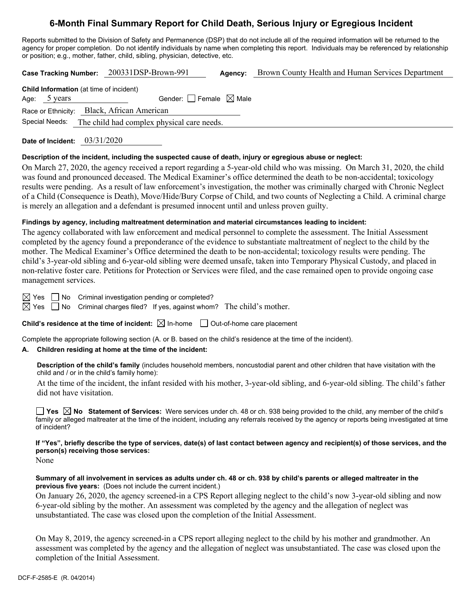# **6-Month Final Summary Report for Child Death, Serious Injury or Egregious Incident**

Reports submitted to the Division of Safety and Permanence (DSP) that do not include all of the required information will be returned to the agency for proper completion. Do not identify individuals by name when completing this report. Individuals may be referenced by relationship or position; e.g., mother, father, child, sibling, physician, detective, etc.

**Case Tracking Number:** 200331DSP-Brown-991 **Agency:** Brown County Health and Human Services Department

| <b>Child Information</b> (at time of incident) |                                                           |  |  |  |
|------------------------------------------------|-----------------------------------------------------------|--|--|--|
| Age: 5 years                                   | Gender: $\Box$ Female $\boxtimes$ Male                    |  |  |  |
|                                                | Race or Ethnicity: Black, African American                |  |  |  |
|                                                | Special Needs: The child had complex physical care needs. |  |  |  |

**Date of Incident:** 03/31/2020

#### **Description of the incident, including the suspected cause of death, injury or egregious abuse or neglect:**

On March 27, 2020, the agency received a report regarding a 5-year-old child who was missing. On March 31, 2020, the child was found and pronounced deceased. The Medical Examiner's office determined the death to be non-accidental; toxicology results were pending. As a result of law enforcement's investigation, the mother was criminally charged with Chronic Neglect of a Child (Consequence is Death), Move/Hide/Bury Corpse of Child, and two counts of Neglecting a Child. A criminal charge is merely an allegation and a defendant is presumed innocent until and unless proven guilty.

#### **Findings by agency, including maltreatment determination and material circumstances leading to incident:**

The agency collaborated with law enforcement and medical personnel to complete the assessment. The Initial Assessment completed by the agency found a preponderance of the evidence to substantiate maltreatment of neglect to the child by the mother. The Medical Examiner's Office determined the death to be non-accidental; toxicology results were pending. The child's 3-year-old sibling and 6-year-old sibling were deemed unsafe, taken into Temporary Physical Custody, and placed in non-relative foster care. Petitions for Protection or Services were filed, and the case remained open to provide ongoing case management services.

 $\boxtimes$  Yes  $\Box$  No Criminal investigation pending or completed?

 $\boxtimes$  Yes  $\Box$  No Criminal charges filed? If yes, against whom? The child's mother.

**Child's residence at the time of incident:**  $\boxtimes$  In-home  $\Box$  Out-of-home care placement

Complete the appropriate following section (A. or B. based on the child's residence at the time of the incident).

#### **A. Children residing at home at the time of the incident:**

**Description of the child's family** (includes household members, noncustodial parent and other children that have visitation with the child and / or in the child's family home):

At the time of the incident, the infant resided with his mother, 3-year-old sibling, and 6-year-old sibling. The child's father did not have visitation.

**Yes No Statement of Services:** Were services under ch. 48 or ch. 938 being provided to the child, any member of the child's family or alleged maltreater at the time of the incident, including any referrals received by the agency or reports being investigated at time of incident?

**If "Yes", briefly describe the type of services, date(s) of last contact between agency and recipient(s) of those services, and the person(s) receiving those services:** 

None

**Summary of all involvement in services as adults under ch. 48 or ch. 938 by child's parents or alleged maltreater in the previous five years:** (Does not include the current incident.)

On January 26, 2020, the agency screened-in a CPS Report alleging neglect to the child's now 3-year-old sibling and now 6-year-old sibling by the mother. An assessment was completed by the agency and the allegation of neglect was unsubstantiated. The case was closed upon the completion of the Initial Assessment.

On May 8, 2019, the agency screened-in a CPS report alleging neglect to the child by his mother and grandmother. An assessment was completed by the agency and the allegation of neglect was unsubstantiated. The case was closed upon the completion of the Initial Assessment.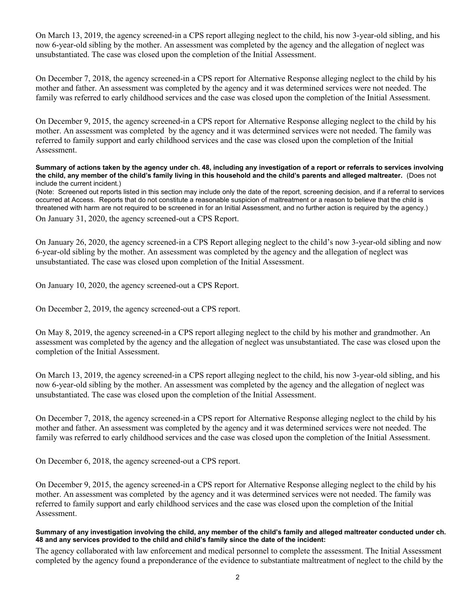On March 13, 2019, the agency screened-in a CPS report alleging neglect to the child, his now 3-year-old sibling, and his now 6-year-old sibling by the mother. An assessment was completed by the agency and the allegation of neglect was unsubstantiated. The case was closed upon the completion of the Initial Assessment.

On December 7, 2018, the agency screened-in a CPS report for Alternative Response alleging neglect to the child by his mother and father. An assessment was completed by the agency and it was determined services were not needed. The family was referred to early childhood services and the case was closed upon the completion of the Initial Assessment.

On December 9, 2015, the agency screened-in a CPS report for Alternative Response alleging neglect to the child by his mother. An assessment was completed by the agency and it was determined services were not needed. The family was referred to family support and early childhood services and the case was closed upon the completion of the Initial Assessment.

**Summary of actions taken by the agency under ch. 48, including any investigation of a report or referrals to services involving the child, any member of the child's family living in this household and the child's parents and alleged maltreater.** (Does not include the current incident.)

(Note: Screened out reports listed in this section may include only the date of the report, screening decision, and if a referral to services occurred at Access. Reports that do not constitute a reasonable suspicion of maltreatment or a reason to believe that the child is threatened with harm are not required to be screened in for an Initial Assessment, and no further action is required by the agency.)

On January 31, 2020, the agency screened-out a CPS Report.

On January 26, 2020, the agency screened-in a CPS Report alleging neglect to the child's now 3-year-old sibling and now 6-year-old sibling by the mother. An assessment was completed by the agency and the allegation of neglect was unsubstantiated. The case was closed upon completion of the Initial Assessment.

On January 10, 2020, the agency screened-out a CPS Report.

On December 2, 2019, the agency screened-out a CPS report.

On May 8, 2019, the agency screened-in a CPS report alleging neglect to the child by his mother and grandmother. An assessment was completed by the agency and the allegation of neglect was unsubstantiated. The case was closed upon the completion of the Initial Assessment.

On March 13, 2019, the agency screened-in a CPS report alleging neglect to the child, his now 3-year-old sibling, and his now 6-year-old sibling by the mother. An assessment was completed by the agency and the allegation of neglect was unsubstantiated. The case was closed upon the completion of the Initial Assessment.

On December 7, 2018, the agency screened-in a CPS report for Alternative Response alleging neglect to the child by his mother and father. An assessment was completed by the agency and it was determined services were not needed. The family was referred to early childhood services and the case was closed upon the completion of the Initial Assessment.

On December 6, 2018, the agency screened-out a CPS report.

On December 9, 2015, the agency screened-in a CPS report for Alternative Response alleging neglect to the child by his mother. An assessment was completed by the agency and it was determined services were not needed. The family was referred to family support and early childhood services and the case was closed upon the completion of the Initial Assessment.

#### **Summary of any investigation involving the child, any member of the child's family and alleged maltreater conducted under ch. 48 and any services provided to the child and child's family since the date of the incident:**

The agency collaborated with law enforcement and medical personnel to complete the assessment. The Initial Assessment completed by the agency found a preponderance of the evidence to substantiate maltreatment of neglect to the child by the